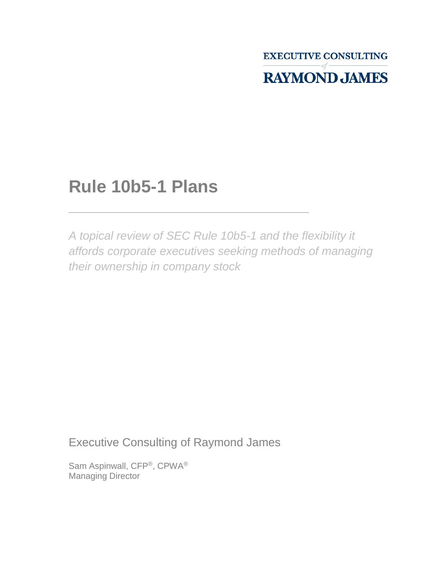**EXECUTIVE CONSULTING RAYMOND JAMES** 

## **Rule 10b5-1 Plans**

*A topical review of SEC Rule 10b5-1 and the flexibility it affords corporate executives seeking methods of managing their ownership in company stock*

Executive Consulting of Raymond James

Sam Aspinwall, CFP®, CPWA® Managing Director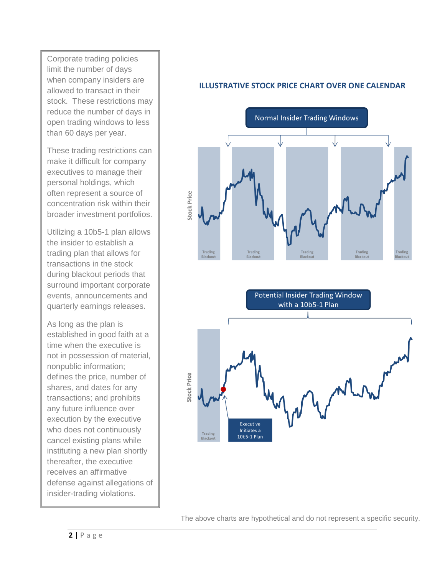Corporate trading policies limit the number of days when company insiders are allowed to transact in their stock. These restrictions may reduce the number of days in open trading windows to less than 60 days per year.

These trading restrictions can make it difficult for company executives to manage their personal holdings, which often represent a source of concentration risk within their broader investment portfolios.

Utilizing a 10b5-1 plan allows the insider to establish a trading plan that allows for transactions in the stock during blackout periods that surround important corporate events, announcements and quarterly earnings releases.

As long as the plan is established in good faith at a time when the executive is not in possession of material, nonpublic information; defines the price, number of shares, and dates for any transactions; and prohibits any future influence over execution by the executive who does not continuously cancel existing plans while instituting a new plan shortly thereafter, the executive receives an affirmative defense against allegations of insider-trading violations.

#### **ILLUSTRATIVE STOCK PRICE CHART OVER ONE CALENDAR**



The above charts are hypothetical and do not represent a specific security.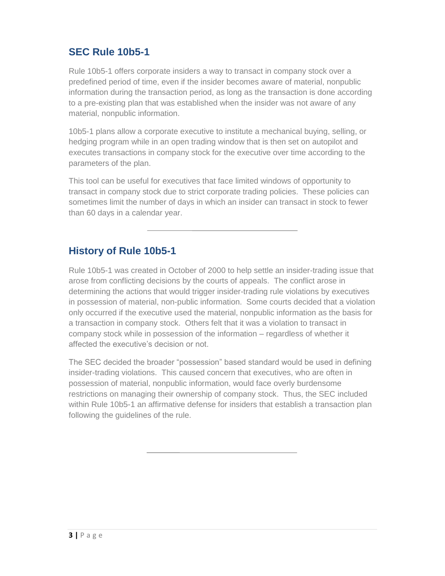### **SEC Rule 10b5-1**

Rule 10b5-1 offers corporate insiders a way to transact in company stock over a predefined period of time, even if the insider becomes aware of material, nonpublic information during the transaction period, as long as the transaction is done according to a pre-existing plan that was established when the insider was not aware of any material, nonpublic information.

10b5-1 plans allow a corporate executive to institute a mechanical buying, selling, or hedging program while in an open trading window that is then set on autopilot and executes transactions in company stock for the executive over time according to the parameters of the plan.

This tool can be useful for executives that face limited windows of opportunity to transact in company stock due to strict corporate trading policies. These policies can sometimes limit the number of days in which an insider can transact in stock to fewer than 60 days in a calendar year.

#### **History of Rule 10b5-1**

Rule 10b5-1 was created in October of 2000 to help settle an insider-trading issue that arose from conflicting decisions by the courts of appeals. The conflict arose in determining the actions that would trigger insider-trading rule violations by executives in possession of material, non-public information. Some courts decided that a violation only occurred if the executive used the material, nonpublic information as the basis for a transaction in company stock. Others felt that it was a violation to transact in company stock while in possession of the information – regardless of whether it affected the executive's decision or not.

The SEC decided the broader "possession" based standard would be used in defining insider-trading violations. This caused concern that executives, who are often in possession of material, nonpublic information, would face overly burdensome restrictions on managing their ownership of company stock. Thus, the SEC included within Rule 10b5-1 an affirmative defense for insiders that establish a transaction plan following the guidelines of the rule.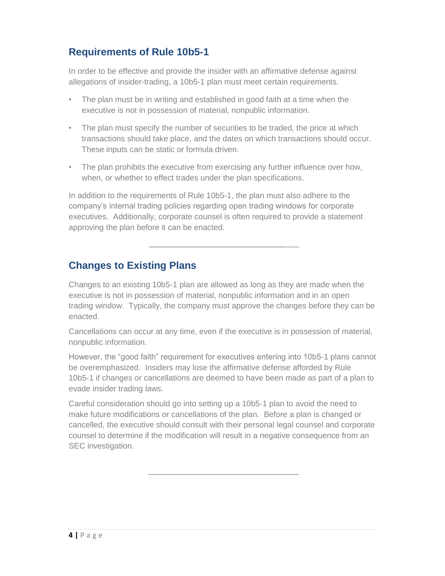#### **Requirements of Rule 10b5-1**

In order to be effective and provide the insider with an affirmative defense against allegations of insider-trading, a 10b5-1 plan must meet certain requirements.

- The plan must be in writing and established in good faith at a time when the executive is not in possession of material, nonpublic information.
- The plan must specify the number of securities to be traded, the price at which transactions should take place, and the dates on which transactions should occur. These inputs can be static or formula driven.
- The plan prohibits the executive from exercising any further influence over how, when, or whether to effect trades under the plan specifications.

In addition to the requirements of Rule 10b5-1, the plan must also adhere to the company's internal trading policies regarding open trading windows for corporate executives. Additionally, corporate counsel is often required to provide a statement approving the plan before it can be enacted.

#### **Changes to Existing Plans**

Changes to an existing 10b5-1 plan are allowed as long as they are made when the executive is not in possession of material, nonpublic information and in an open trading window. Typically, the company must approve the changes before they can be enacted.

Cancellations can occur at any time, even if the executive is in possession of material, nonpublic information.

However, the "good faith" requirement for executives entering into 10b5-1 plans cannot be overemphasized. Insiders may lose the affirmative defense afforded by Rule 10b5-1 if changes or cancellations are deemed to have been made as part of a plan to evade insider trading laws.

Careful consideration should go into setting up a 10b5-1 plan to avoid the need to make future modifications or cancellations of the plan. Before a plan is changed or cancelled, the executive should consult with their personal legal counsel and corporate counsel to determine if the modification will result in a negative consequence from an SEC investigation.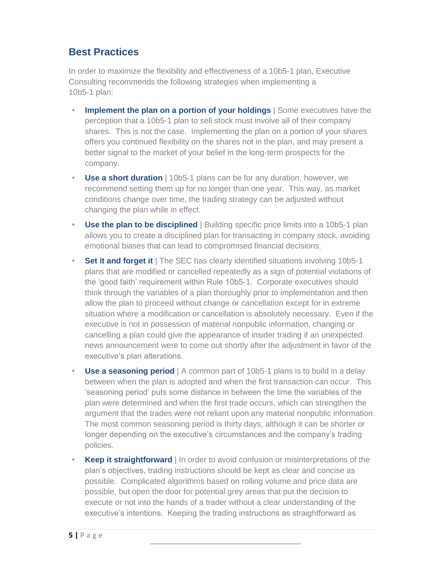#### **Best Practices**

In order to maximize the flexibility and effectiveness of a 10b5-1 plan, Executive Consulting recommends the following strategies when implementing a 10b5-1 plan:

- **Implement the plan on a portion of your holdings** | Some executives have the perception that a 10b5-1 plan to sell stock must involve all of their company shares. This is not the case. Implementing the plan on a portion of your shares offers you continued flexibility on the shares not in the plan, and may present a better signal to the market of your belief in the long-term prospects for the company.
- **Use a short duration** | 10b5-1 plans can be for any duration, however, we recommend setting them up for no longer than one year. This way, as market conditions change over time, the trading strategy can be adjusted without changing the plan while in effect.
- **Use the plan to be disciplined** | Building specific price limits into a 10b5-1 plan allows you to create a disciplined plan for transacting in company stock, avoiding emotional biases that can lead to compromised financial decisions.
- **Set it and forget it** | The SEC has clearly identified situations involving 10b5-1 plans that are modified or cancelled repeatedly as a sign of potential violations of the 'good faith' requirement within Rule 10b5-1. Corporate executives should think through the variables of a plan thoroughly prior to implementation and then allow the plan to proceed without change or cancellation except for in extreme situation where a modification or cancellation is absolutely necessary. Even if the executive is not in possession of material nonpublic information, changing or cancelling a plan could give the appearance of insider trading if an unexpected news announcement were to come out shortly after the adjustment in favor of the executive's plan alterations.
- **Use a seasoning period** | A common part of 10b5-1 plans is to build in a delay between when the plan is adopted and when the first transaction can occur. This 'seasoning period' puts some distance in between the time the variables of the plan were determined and when the first trade occurs, which can strengthen the argument that the trades were not reliant upon any material nonpublic information. The most common seasoning period is thirty days, although it can be shorter or longer depending on the executive's circumstances and the company's trading policies.
- **Keep it straightforward** | In order to avoid confusion or misinterpretations of the plan's objectives, trading instructions should be kept as clear and concise as possible. Complicated algorithms based on rolling volume and price data are possible, but open the door for potential grey areas that put the decision to execute or not into the hands of a trader without a clear understanding of the executive's intentions. Keeping the trading instructions as straightforward as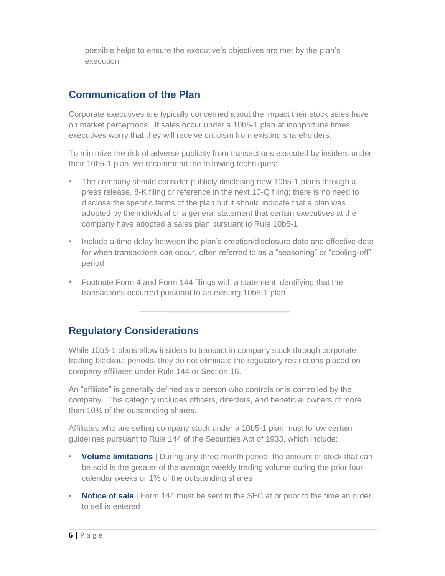possible helps to ensure the executive's objectives are met by the plan's execution.

#### **Communication of the Plan**

Corporate executives are typically concerned about the impact their stock sales have on market perceptions. If sales occur under a 10b5-1 plan at inopportune times, executives worry that they will receive criticism from existing shareholders.

To minimize the risk of adverse publicity from transactions executed by insiders under their 10b5-1 plan, we recommend the following techniques:

- The company should consider publicly disclosing new 10b5-1 plans through a press release, 8-K filing or reference in the next 10-Q filing; there is no need to disclose the specific terms of the plan but it should indicate that a plan was adopted by the individual or a general statement that certain executives at the company have adopted a sales plan pursuant to Rule 10b5-1
- Include a time delay between the plan's creation/disclosure date and effective date for when transactions can occur, often referred to as a "seasoning" or "cooling-off" period
- Footnote Form 4 and Form 144 filings with a statement identifying that the transactions occurred pursuant to an existing 10b5-1 plan

#### **Regulatory Considerations**

While 10b5-1 plans allow insiders to transact in company stock through corporate trading blackout periods, they do not eliminate the regulatory restrictions placed on company affiliates under Rule 144 or Section 16.

An "affiliate" is generally defined as a person who controls or is controlled by the company. This category includes officers, directors, and beneficial owners of more than 10% of the outstanding shares.

Affiliates who are selling company stock under a 10b5-1 plan must follow certain guidelines pursuant to Rule 144 of the Securities Act of 1933, which include:

- **Volume limitations** | During any three-month period, the amount of stock that can be sold is the greater of the average weekly trading volume during the prior four calendar weeks or 1% of the outstanding shares
- **Notice of sale** | Form 144 must be sent to the SEC at or prior to the time an order to sell is entered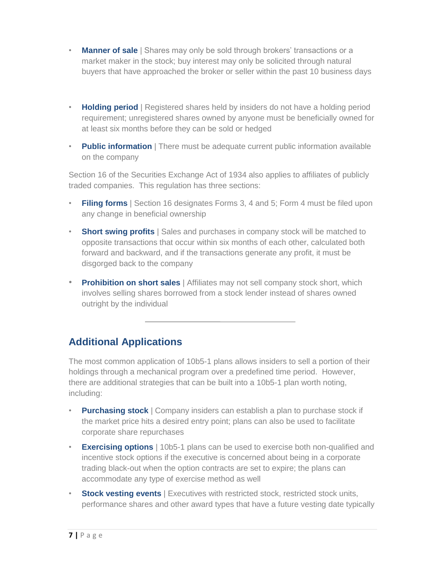- **Manner of sale** | Shares may only be sold through brokers' transactions or a market maker in the stock; buy interest may only be solicited through natural buyers that have approached the broker or seller within the past 10 business days
- **Holding period** | Registered shares held by insiders do not have a holding period requirement; unregistered shares owned by anyone must be beneficially owned for at least six months before they can be sold or hedged
- **Public information** | There must be adequate current public information available on the company

Section 16 of the Securities Exchange Act of 1934 also applies to affiliates of publicly traded companies. This regulation has three sections:

- **Filing forms** Section 16 designates Forms 3, 4 and 5; Form 4 must be filed upon any change in beneficial ownership
- **Short swing profits** | Sales and purchases in company stock will be matched to opposite transactions that occur within six months of each other, calculated both forward and backward, and if the transactions generate any profit, it must be disgorged back to the company
- **Prohibition on short sales** | Affiliates may not sell company stock short, which involves selling shares borrowed from a stock lender instead of shares owned outright by the individual

#### **Additional Applications**

The most common application of 10b5-1 plans allows insiders to sell a portion of their holdings through a mechanical program over a predefined time period. However, there are additional strategies that can be built into a 10b5-1 plan worth noting, including:

- **Purchasing stock** | Company insiders can establish a plan to purchase stock if the market price hits a desired entry point; plans can also be used to facilitate corporate share repurchases
- **Exercising options** | 10b5-1 plans can be used to exercise both non-qualified and incentive stock options if the executive is concerned about being in a corporate trading black-out when the option contracts are set to expire; the plans can accommodate any type of exercise method as well
- **Stock vesting events** | Executives with restricted stock, restricted stock units, performance shares and other award types that have a future vesting date typically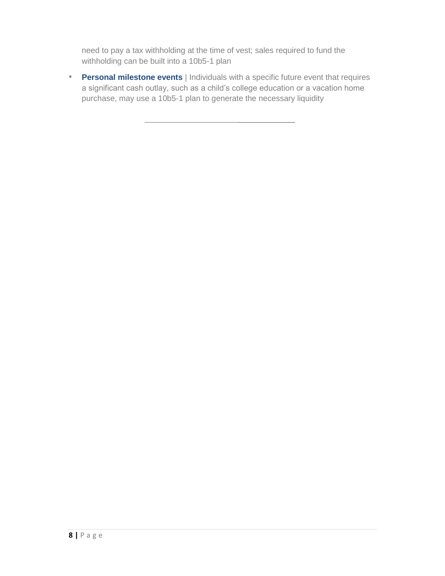need to pay a tax withholding at the time of vest; sales required to fund the withholding can be built into a 10b5-1 plan

• **Personal milestone events** | Individuals with a specific future event that requires a significant cash outlay, such as a child's college education or a vacation home purchase, may use a 10b5-1 plan to generate the necessary liquidity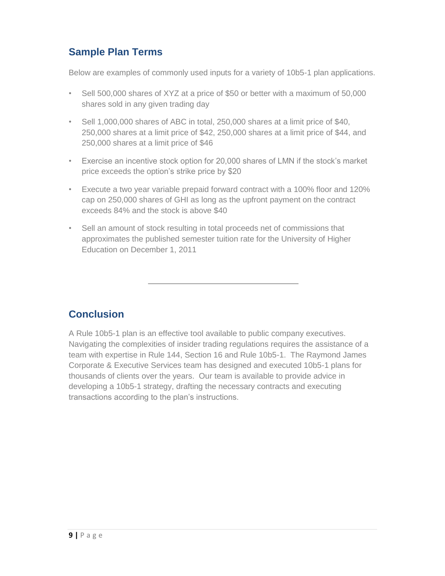#### **Sample Plan Terms**

Below are examples of commonly used inputs for a variety of 10b5-1 plan applications.

- Sell 500,000 shares of XYZ at a price of \$50 or better with a maximum of 50,000 shares sold in any given trading day
- Sell 1,000,000 shares of ABC in total, 250,000 shares at a limit price of \$40, 250,000 shares at a limit price of \$42, 250,000 shares at a limit price of \$44, and 250,000 shares at a limit price of \$46
- Exercise an incentive stock option for 20,000 shares of LMN if the stock's market price exceeds the option's strike price by \$20
- Execute a two year variable prepaid forward contract with a 100% floor and 120% cap on 250,000 shares of GHI as long as the upfront payment on the contract exceeds 84% and the stock is above \$40
- Sell an amount of stock resulting in total proceeds net of commissions that approximates the published semester tuition rate for the University of Higher Education on December 1, 2011

#### **Conclusion**

A Rule 10b5-1 plan is an effective tool available to public company executives. Navigating the complexities of insider trading regulations requires the assistance of a team with expertise in Rule 144, Section 16 and Rule 10b5-1. The Raymond James Corporate & Executive Services team has designed and executed 10b5-1 plans for thousands of clients over the years. Our team is available to provide advice in developing a 10b5-1 strategy, drafting the necessary contracts and executing transactions according to the plan's instructions.